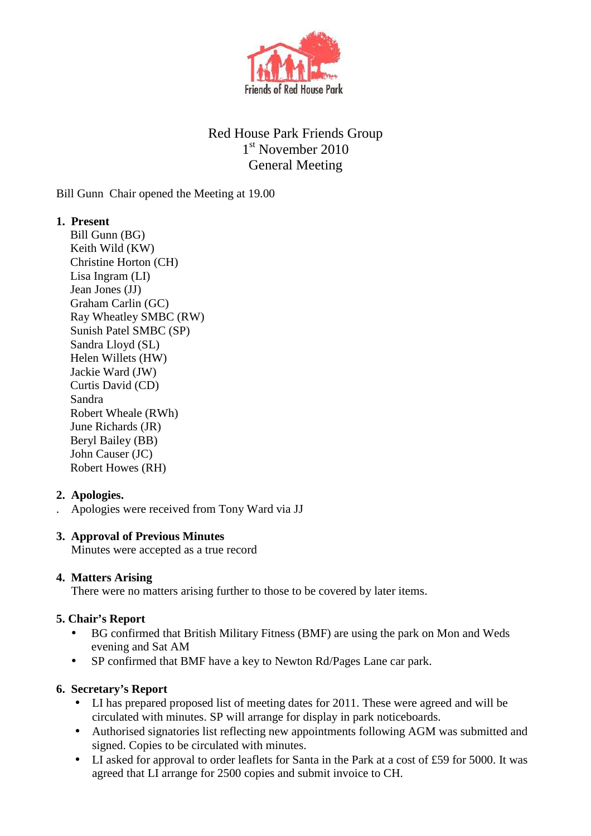

# Red House Park Friends Group 1 st November 2010 General Meeting

Bill Gunn Chair opened the Meeting at 19.00

### **1. Present**

Bill Gunn (BG) Keith Wild (KW) Christine Horton (CH) Lisa Ingram (LI) Jean Jones (JJ) Graham Carlin (GC) Ray Wheatley SMBC (RW) Sunish Patel SMBC (SP) Sandra Lloyd (SL) Helen Willets (HW) Jackie Ward (JW) Curtis David (CD) Sandra Robert Wheale (RWh) June Richards (JR) Beryl Bailey (BB) John Causer (JC) Robert Howes (RH)

## **2. Apologies.**

. Apologies were received from Tony Ward via JJ

### **3. Approval of Previous Minutes**

Minutes were accepted as a true record

### **4. Matters Arising**

There were no matters arising further to those to be covered by later items.

### **5. Chair's Report**

- BG confirmed that British Military Fitness (BMF) are using the park on Mon and Weds evening and Sat AM
- SP confirmed that BMF have a key to Newton Rd/Pages Lane car park.

### **6. Secretary's Report**

- LI has prepared proposed list of meeting dates for 2011. These were agreed and will be circulated with minutes. SP will arrange for display in park noticeboards.
- Authorised signatories list reflecting new appointments following AGM was submitted and signed. Copies to be circulated with minutes.
- LI asked for approval to order leaflets for Santa in the Park at a cost of £59 for 5000. It was agreed that LI arrange for 2500 copies and submit invoice to CH.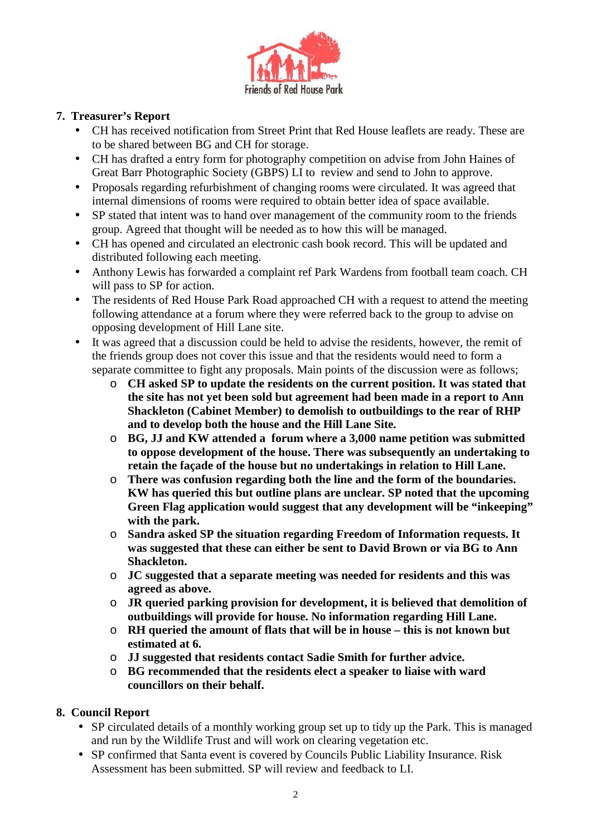

#### **7. Treasurer's Report**

- CH has received notification from Street Print that Red House leaflets are ready. These are to be shared between BG and CH for storage.
- CH has drafted a entry form for photography competition on advise from John Haines of Great Barr Photographic Society (GBPS) LI to review and send to John to approve.
- Proposals regarding refurbishment of changing rooms were circulated. It was agreed that internal dimensions of rooms were required to obtain better idea of space available.
- SP stated that intent was to hand over management of the community room to the friends group. Agreed that thought will be needed as to how this will be managed.
- CH has opened and circulated an electronic cash book record. This will be updated and distributed following each meeting.
- Anthony Lewis has forwarded a complaint ref Park Wardens from football team coach. CH will pass to SP for action.
- The residents of Red House Park Road approached CH with a request to attend the meeting following attendance at a forum where they were referred back to the group to advise on opposing development of Hill Lane site.
- It was agreed that a discussion could be held to advise the residents, however, the remit of the friends group does not cover this issue and that the residents would need to form a separate committee to fight any proposals. Main points of the discussion were as follows;
	- o **CH asked SP to update the residents on the current position. It was stated that the site has not yet been sold but agreement had been made in a report to Ann Shackleton (Cabinet Member) to demolish to outbuildings to the rear of RHP and to develop both the house and the Hill Lane Site.**
	- o **BG, JJ and KW attended a forum where a 3,000 name petition was submitted to oppose development of the house. There was subsequently an undertaking to retain the façade of the house but no undertakings in relation to Hill Lane.**
	- o **There was confusion regarding both the line and the form of the boundaries. KW has queried this but outline plans are unclear. SP noted that the upcoming Green Flag application would suggest that any development will be "inkeeping" with the park.**
	- o **Sandra asked SP the situation regarding Freedom of Information requests. It was suggested that these can either be sent to David Brown or via BG to Ann Shackleton.**
	- o **JC suggested that a separate meeting was needed for residents and this was agreed as above.**
	- o **JR queried parking provision for development, it is believed that demolition of outbuildings will provide for house. No information regarding Hill Lane.**
	- o **RH queried the amount of flats that will be in house this is not known but estimated at 6.**
	- o **JJ suggested that residents contact Sadie Smith for further advice.**
	- o **BG recommended that the residents elect a speaker to liaise with ward councillors on their behalf.**

### **8. Council Report**

- SP circulated details of a monthly working group set up to tidy up the Park. This is managed and run by the Wildlife Trust and will work on clearing vegetation etc.
- SP confirmed that Santa event is covered by Councils Public Liability Insurance. Risk Assessment has been submitted. SP will review and feedback to LI.